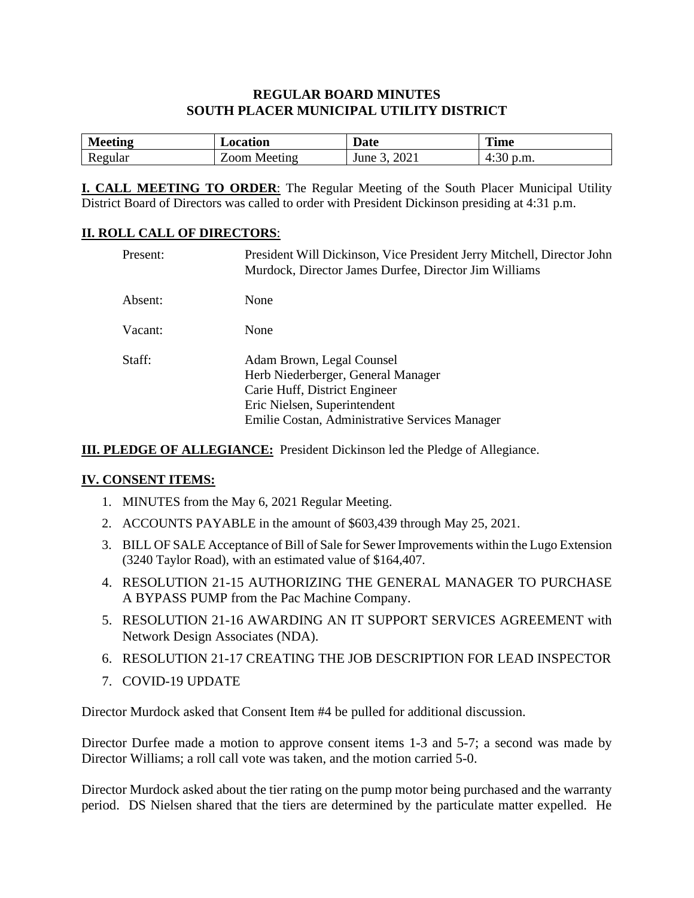#### **REGULAR BOARD MINUTES SOUTH PLACER MUNICIPAL UTILITY DISTRICT**

| M<br>$\alpha$ tin $\alpha$ | ocation | Date | <b>Time</b> |
|----------------------------|---------|------|-------------|
| egular                     | ററന     | 202. | D.m.        |
| 11 V                       | Meeting | June | 1.50        |

**I. CALL MEETING TO ORDER**: The Regular Meeting of the South Placer Municipal Utility District Board of Directors was called to order with President Dickinson presiding at 4:31 p.m.

#### **II. ROLL CALL OF DIRECTORS**:

| Present: | President Will Dickinson, Vice President Jerry Mitchell, Director John<br>Murdock, Director James Durfee, Director Jim Williams                                                    |
|----------|------------------------------------------------------------------------------------------------------------------------------------------------------------------------------------|
| Absent:  | None                                                                                                                                                                               |
| Vacant:  | None                                                                                                                                                                               |
| Staff:   | Adam Brown, Legal Counsel<br>Herb Niederberger, General Manager<br>Carie Huff, District Engineer<br>Eric Nielsen, Superintendent<br>Emilie Costan, Administrative Services Manager |

**III. PLEDGE OF ALLEGIANCE:** President Dickinson led the Pledge of Allegiance.

#### **IV. CONSENT ITEMS:**

- 1. MINUTES from the May 6, 2021 Regular Meeting.
- 2. ACCOUNTS PAYABLE in the amount of \$603,439 through May 25, 2021.
- 3. BILL OF SALE Acceptance of Bill of Sale for Sewer Improvements within the Lugo Extension (3240 Taylor Road), with an estimated value of \$164,407.
- 4. RESOLUTION 21-15 AUTHORIZING THE GENERAL MANAGER TO PURCHASE A BYPASS PUMP from the Pac Machine Company.
- 5. RESOLUTION 21-16 AWARDING AN IT SUPPORT SERVICES AGREEMENT with Network Design Associates (NDA).
- 6. RESOLUTION 21-17 CREATING THE JOB DESCRIPTION FOR LEAD INSPECTOR
- 7. COVID-19 UPDATE

Director Murdock asked that Consent Item #4 be pulled for additional discussion.

Director Durfee made a motion to approve consent items 1-3 and 5-7; a second was made by Director Williams; a roll call vote was taken, and the motion carried 5-0.

Director Murdock asked about the tier rating on the pump motor being purchased and the warranty period. DS Nielsen shared that the tiers are determined by the particulate matter expelled. He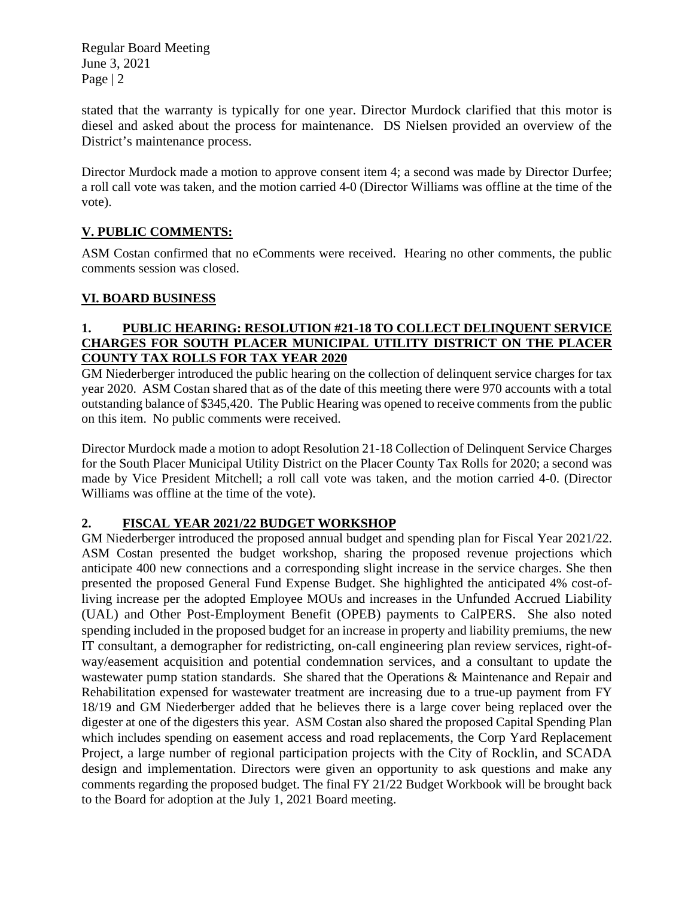Regular Board Meeting June 3, 2021 Page | 2

stated that the warranty is typically for one year. Director Murdock clarified that this motor is diesel and asked about the process for maintenance. DS Nielsen provided an overview of the District's maintenance process.

Director Murdock made a motion to approve consent item 4; a second was made by Director Durfee; a roll call vote was taken, and the motion carried 4-0 (Director Williams was offline at the time of the vote).

# **V. PUBLIC COMMENTS:**

ASM Costan confirmed that no eComments were received. Hearing no other comments, the public comments session was closed.

### **VI. BOARD BUSINESS**

#### **1. PUBLIC HEARING: RESOLUTION #21-18 TO COLLECT DELINQUENT SERVICE CHARGES FOR SOUTH PLACER MUNICIPAL UTILITY DISTRICT ON THE PLACER COUNTY TAX ROLLS FOR TAX YEAR 2020**

GM Niederberger introduced the public hearing on the collection of delinquent service charges for tax year 2020. ASM Costan shared that as of the date of this meeting there were 970 accounts with a total outstanding balance of \$345,420. The Public Hearing was opened to receive comments from the public on this item. No public comments were received.

Director Murdock made a motion to adopt Resolution 21-18 Collection of Delinquent Service Charges for the South Placer Municipal Utility District on the Placer County Tax Rolls for 2020; a second was made by Vice President Mitchell; a roll call vote was taken, and the motion carried 4-0. (Director Williams was offline at the time of the vote).

# **2. FISCAL YEAR 2021/22 BUDGET WORKSHOP**

GM Niederberger introduced the proposed annual budget and spending plan for Fiscal Year 2021/22. ASM Costan presented the budget workshop, sharing the proposed revenue projections which anticipate 400 new connections and a corresponding slight increase in the service charges. She then presented the proposed General Fund Expense Budget. She highlighted the anticipated 4% cost-ofliving increase per the adopted Employee MOUs and increases in the Unfunded Accrued Liability (UAL) and Other Post-Employment Benefit (OPEB) payments to CalPERS. She also noted spending included in the proposed budget for an increase in property and liability premiums, the new IT consultant, a demographer for redistricting, on-call engineering plan review services, right-ofway/easement acquisition and potential condemnation services, and a consultant to update the wastewater pump station standards. She shared that the Operations & Maintenance and Repair and Rehabilitation expensed for wastewater treatment are increasing due to a true-up payment from FY 18/19 and GM Niederberger added that he believes there is a large cover being replaced over the digester at one of the digesters this year. ASM Costan also shared the proposed Capital Spending Plan which includes spending on easement access and road replacements, the Corp Yard Replacement Project, a large number of regional participation projects with the City of Rocklin, and SCADA design and implementation. Directors were given an opportunity to ask questions and make any comments regarding the proposed budget. The final FY 21/22 Budget Workbook will be brought back to the Board for adoption at the July 1, 2021 Board meeting.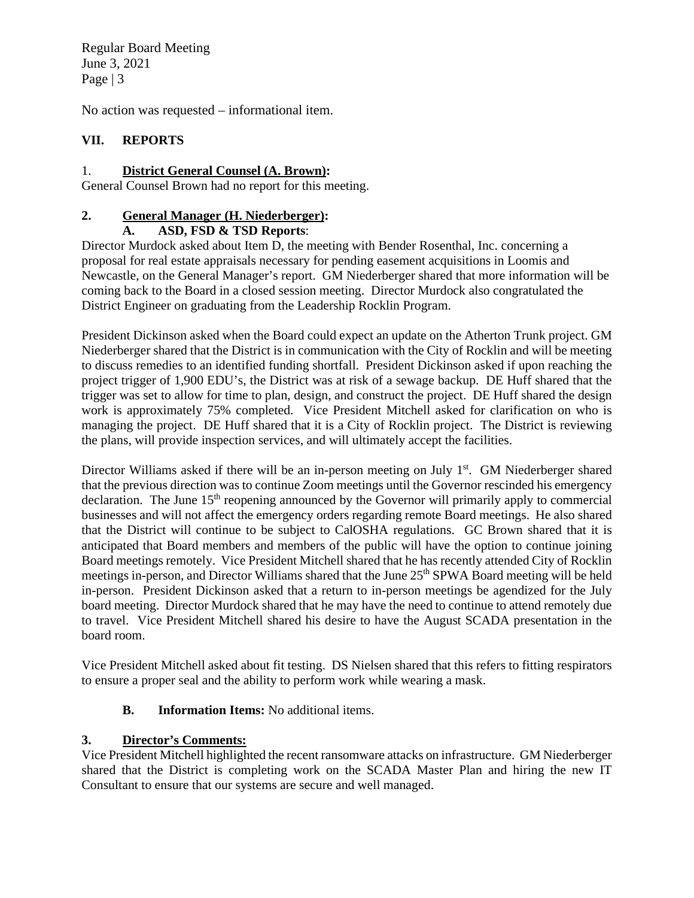Regular Board Meeting June 3, 2021 Page | 3

No action was requested – informational item.

# **VII. REPORTS**

### 1. **District General Counsel (A. Brown):**

General Counsel Brown had no report for this meeting.

# **2. General Manager (H. Niederberger):**

### **A. ASD, FSD & TSD Reports**:

Director Murdock asked about Item D, the meeting with Bender Rosenthal, Inc. concerning a proposal for real estate appraisals necessary for pending easement acquisitions in Loomis and Newcastle, on the General Manager's report. GM Niederberger shared that more information will be coming back to the Board in a closed session meeting. Director Murdock also congratulated the District Engineer on graduating from the Leadership Rocklin Program.

President Dickinson asked when the Board could expect an update on the Atherton Trunk project. GM Niederberger shared that the District is in communication with the City of Rocklin and will be meeting to discuss remedies to an identified funding shortfall. President Dickinson asked if upon reaching the project trigger of 1,900 EDU's, the District was at risk of a sewage backup. DE Huff shared that the trigger was set to allow for time to plan, design, and construct the project. DE Huff shared the design work is approximately 75% completed. Vice President Mitchell asked for clarification on who is managing the project. DE Huff shared that it is a City of Rocklin project. The District is reviewing the plans, will provide inspection services, and will ultimately accept the facilities.

Director Williams asked if there will be an in-person meeting on July  $1<sup>st</sup>$ . GM Niederberger shared that the previous direction was to continue Zoom meetings until the Governor rescinded his emergency declaration. The June  $15<sup>th</sup>$  reopening announced by the Governor will primarily apply to commercial businesses and will not affect the emergency orders regarding remote Board meetings. He also shared that the District will continue to be subject to CalOSHA regulations. GC Brown shared that it is anticipated that Board members and members of the public will have the option to continue joining Board meetings remotely. Vice President Mitchell shared that he has recently attended City of Rocklin meetings in-person, and Director Williams shared that the June 25<sup>th</sup> SPWA Board meeting will be held in-person. President Dickinson asked that a return to in-person meetings be agendized for the July board meeting. Director Murdock shared that he may have the need to continue to attend remotely due to travel. Vice President Mitchell shared his desire to have the August SCADA presentation in the board room.

Vice President Mitchell asked about fit testing. DS Nielsen shared that this refers to fitting respirators to ensure a proper seal and the ability to perform work while wearing a mask.

### **B. Information Items:** No additional items.

### **3. Director's Comments:**

Vice President Mitchell highlighted the recent ransomware attacks on infrastructure. GM Niederberger shared that the District is completing work on the SCADA Master Plan and hiring the new IT Consultant to ensure that our systems are secure and well managed.